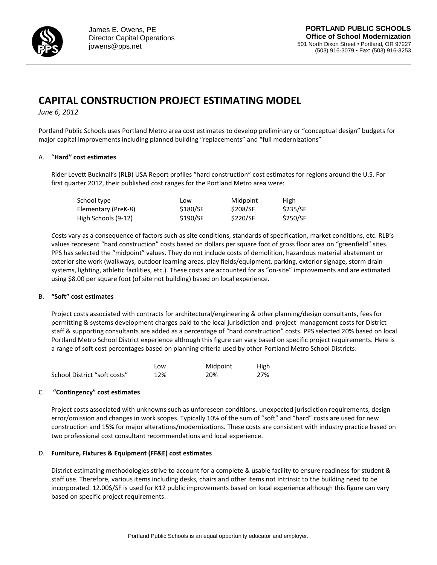

# **CAPITAL CONSTRUCTION PROJECT ESTIMATING MODEL**

*June 6, 2012*

Portland Public Schools uses Portland Metro area cost estimates to develop preliminary or "conceptual design" budgets for major capital improvements including planned building "replacements" and "full modernizations"

## A. "**Hard" cost estimates**

Rider Levett Bucknall's (RLB) USA Report profiles "hard construction" cost estimates for regions around the U.S. For first quarter 2012, their published cost ranges for the Portland Metro area were:

| School type         | Low      | Midpoint | High     |
|---------------------|----------|----------|----------|
| Elementary (PreK-8) | \$180/SF | \$208/SF | \$235/SF |
| High Schools (9-12) | \$190/SF | \$220/SF | \$250/SF |

*C*osts vary as a consequence of factors such as site conditions, standards of specification, market conditions, etc. RLB's values represent "hard construction" costs based on dollars per square foot of gross floor area on "greenfield" sites. PPS has selected the "midpoint" values. They do not include costs of demolition, hazardous material abatement or exterior site work (walkways, outdoor learning areas, play fields/equipment, parking, exterior signage, storm drain systems, lighting, athletic facilities, etc.). These costs are accounted for as "on-site" improvements and are estimated using \$8.00 per square foot (of site not building) based on local experience.

### B. **"Soft" cost estimates**

Project costs associated with contracts for architectural/engineering & other planning/design consultants, fees for permitting & systems development charges paid to the local jurisdiction and project management costs for District staff & supporting consultants are added as a percentage of "hard construction" costs. PPS selected 20% based on local Portland Metro School District experience although this figure can vary based on specific project requirements. Here is a range of soft cost percentages based on planning criteria used by other Portland Metro School Districts:

|                              | Low | Midpoint | <b>High</b> |
|------------------------------|-----|----------|-------------|
| School District "soft costs" | 12% | 20%      | 27%         |

### C. **"Contingency" cost estimates**

Project costs associated with unknowns such as unforeseen conditions, unexpected jurisdiction requirements, design error/omission and changes in work scopes. Typically 10% of the sum of "soft" and "hard" costs are used for new construction and 15% for major alterations/modernizations. These costs are consistent with industry practice based on two professional cost consultant recommendations and local experience.

### D. **Furniture, Fixtures & Equipment (FF&E) cost estimates**

District estimating methodologies strive to account for a complete & usable facility to ensure readiness for student & staff use. Therefore, various items including desks, chairs and other items not intrinsic to the building need to be incorporated. 12.00\$/SF is used for K12 public improvements based on local experience although this figure can vary based on specific project requirements.